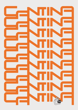